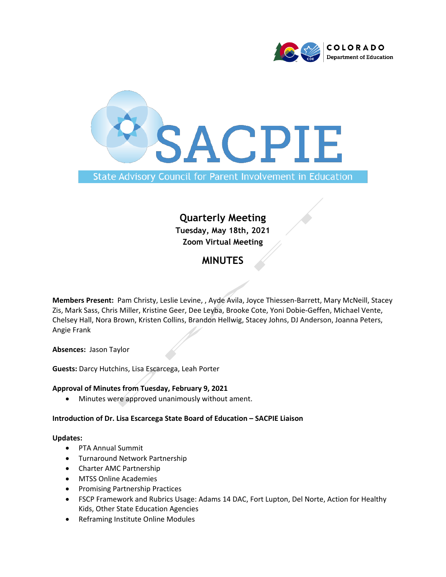



## **Quarterly Meeting Tuesday, May 18th, 2021 Zoom Virtual Meeting**

### **MINUTES**

**Members Present:** Pam Christy, Leslie Levine, , Ayde Avila, Joyce Thiessen-Barrett, Mary McNeill, Stacey Zis, Mark Sass, Chris Miller, Kristine Geer, Dee Leyba, Brooke Cote, Yoni Dobie-Geffen, Michael Vente, Chelsey Hall, Nora Brown, Kristen Collins, Brandon Hellwig, Stacey Johns, DJ Anderson, Joanna Peters, Angie Frank

**Absences:** Jason Taylor

**Guests:** Darcy Hutchins, Lisa Escarcega, Leah Porter

#### **Approval of Minutes from Tuesday, February 9, 2021**

• Minutes were approved unanimously without ament.

#### **Introduction of Dr. Lisa Escarcega State Board of Education – SACPIE Liaison**

#### **Updates:**

- PTA Annual Summit
- Turnaround Network Partnership
- Charter AMC Partnership
- MTSS Online Academies
- Promising Partnership Practices
- FSCP Framework and Rubrics Usage: Adams 14 DAC, Fort Lupton, Del Norte, Action for Healthy Kids, Other State Education Agencies
- Reframing Institute Online Modules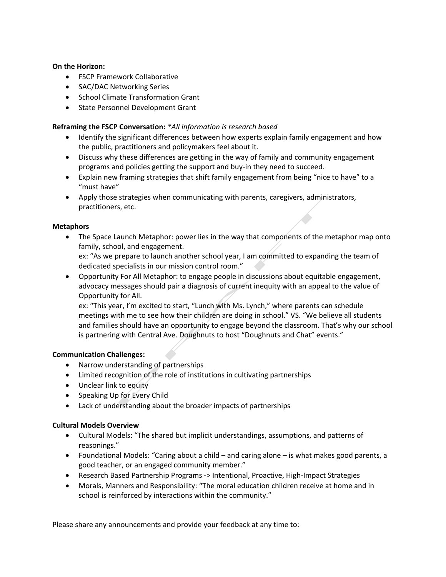#### **On the Horizon:**

- FSCP Framework Collaborative
- SAC/DAC Networking Series
- School Climate Transformation Grant
- State Personnel Development Grant

#### **Reframing the FSCP Conversation:** *\*All information is research based*

- Identify the significant differences between how experts explain family engagement and how the public, practitioners and policymakers feel about it.
- Discuss why these differences are getting in the way of family and community engagement programs and policies getting the support and buy-in they need to succeed.
- Explain new framing strategies that shift family engagement from being "nice to have" to a "must have"
- Apply those strategies when communicating with parents, caregivers, administrators, practitioners, etc.

#### **Metaphors**

• The Space Launch Metaphor: power lies in the way that components of the metaphor map onto family, school, and engagement.

ex: "As we prepare to launch another school year, I am committed to expanding the team of dedicated specialists in our mission control room."

• Opportunity For All Metaphor: to engage people in discussions about equitable engagement, advocacy messages should pair a diagnosis of current inequity with an appeal to the value of Opportunity for All.

ex: "This year, I'm excited to start, "Lunch with Ms. Lynch," where parents can schedule meetings with me to see how their children are doing in school." VS. "We believe all students and families should have an opportunity to engage beyond the classroom. That's why our school is partnering with Central Ave. Doughnuts to host "Doughnuts and Chat" events."

#### **Communication Challenges:**

- Narrow understanding of partnerships
- Limited recognition of the role of institutions in cultivating partnerships
- Unclear link to equity
- Speaking Up for Every Child
- Lack of understanding about the broader impacts of partnerships

#### **Cultural Models Overview**

- Cultural Models: "The shared but implicit understandings, assumptions, and patterns of reasonings."
- Foundational Models: "Caring about a child and caring alone is what makes good parents, a good teacher, or an engaged community member."
- Research Based Partnership Programs -> Intentional, Proactive, High-Impact Strategies
- Morals, Manners and Responsibility: "The moral education children receive at home and in school is reinforced by interactions within the community."

Please share any announcements and provide your feedback at any time to: